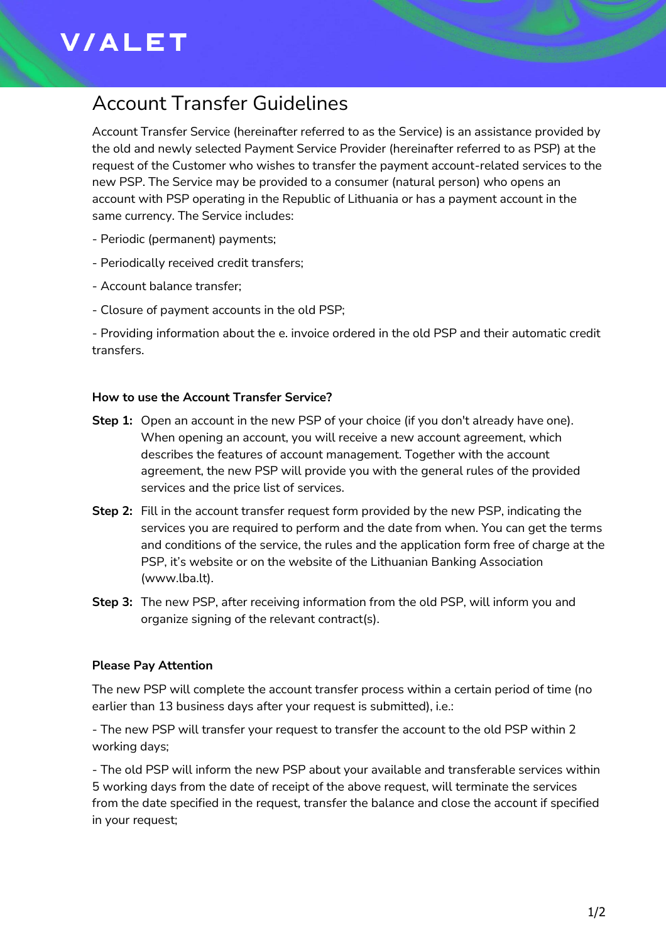# **V/ALET**

## Account Transfer Guidelines

Account Transfer Service (hereinafter referred to as the Service) is an assistance provided by the old and newly selected Payment Service Provider (hereinafter referred to as PSP) at the request of the Customer who wishes to transfer the payment account-related services to the new PSP. The Service may be provided to a consumer (natural person) who opens an account with PSP operating in the Republic of Lithuania or has a payment account in the same currency. The Service includes:

- Periodic (permanent) payments;
- Periodically received credit transfers;
- Account balance transfer;
- Closure of payment accounts in the old PSP;

- Providing information about the e. invoice ordered in the old PSP and their automatic credit transfers.

#### **How to use the Account Transfer Service?**

- **Step 1:** Open an account in the new PSP of your choice (if you don't already have one). When opening an account, you will receive a new account agreement, which describes the features of account management. Together with the account agreement, the new PSP will provide you with the general rules of the provided services and the price list of services.
- **Step 2:** Fill in the account transfer request form provided by the new PSP, indicating the services you are required to perform and the date from when. You can get the terms and conditions of the service, the rules and the application form free of charge at the PSP, it's website or on the website of the Lithuanian Banking Association (www.lba.lt).
- **Step 3:** The new PSP, after receiving information from the old PSP, will inform you and organize signing of the relevant contract(s).

### **Please Pay Attention**

The new PSP will complete the account transfer process within a certain period of time (no earlier than 13 business days after your request is submitted), i.e.:

- The new PSP will transfer your request to transfer the account to the old PSP within 2 working days;

- The old PSP will inform the new PSP about your available and transferable services within 5 working days from the date of receipt of the above request, will terminate the services from the date specified in the request, transfer the balance and close the account if specified in your request;